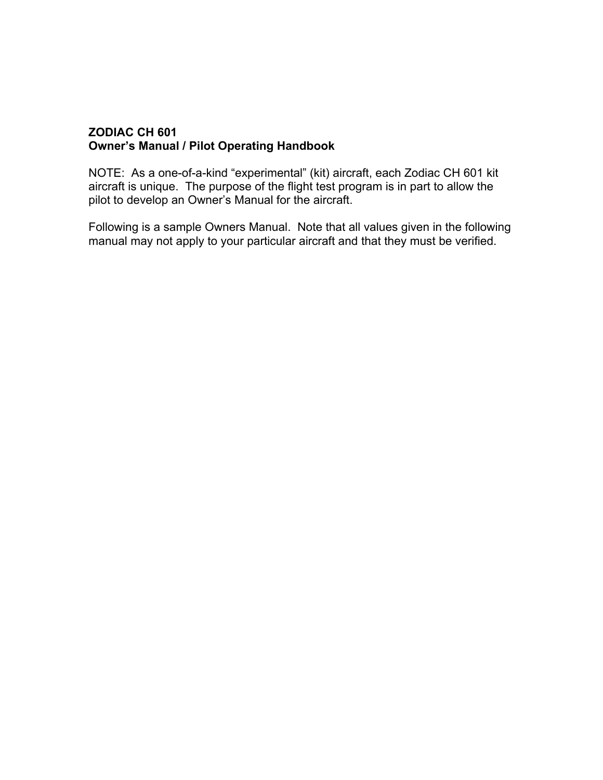#### **ZODIAC CH 601 Owner's Manual / Pilot Operating Handbook**

NOTE: As a one-of-a-kind "experimental" (kit) aircraft, each Zodiac CH 601 kit aircraft is unique. The purpose of the flight test program is in part to allow the pilot to develop an Owner's Manual for the aircraft.

Following is a sample Owners Manual. Note that all values given in the following manual may not apply to your particular aircraft and that they must be verified.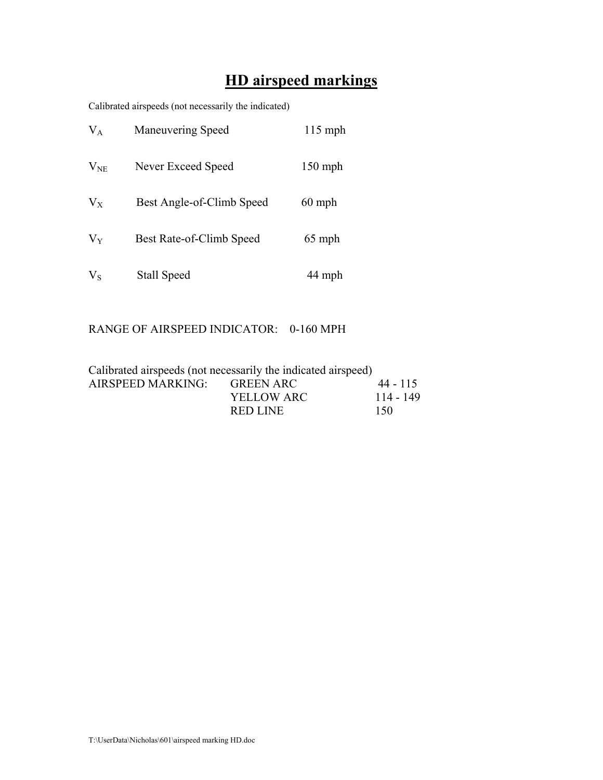# **HD airspeed markings**

Calibrated airspeeds (not necessarily the indicated)

| $V_A$    | <b>Maneuvering Speed</b>  | $115$ mph |
|----------|---------------------------|-----------|
| $V_{NE}$ | Never Exceed Speed        | $150$ mph |
| $V_{X}$  | Best Angle-of-Climb Speed | $60$ mph  |
| $V_{Y}$  | Best Rate-of-Climb Speed  | 65 mph    |
| $V_{S}$  | Stall Speed               | 44 mph    |

## RANGE OF AIRSPEED INDICATOR: 0-160 MPH

| Calibrated airspeeds (not necessarily the indicated airspeed) |                   |           |
|---------------------------------------------------------------|-------------------|-----------|
| AIRSPEED MARKING: GREEN ARC                                   |                   | 44 - 115  |
|                                                               | <b>YELLOW ARC</b> | 114 - 149 |
|                                                               | RED LINE          | 150       |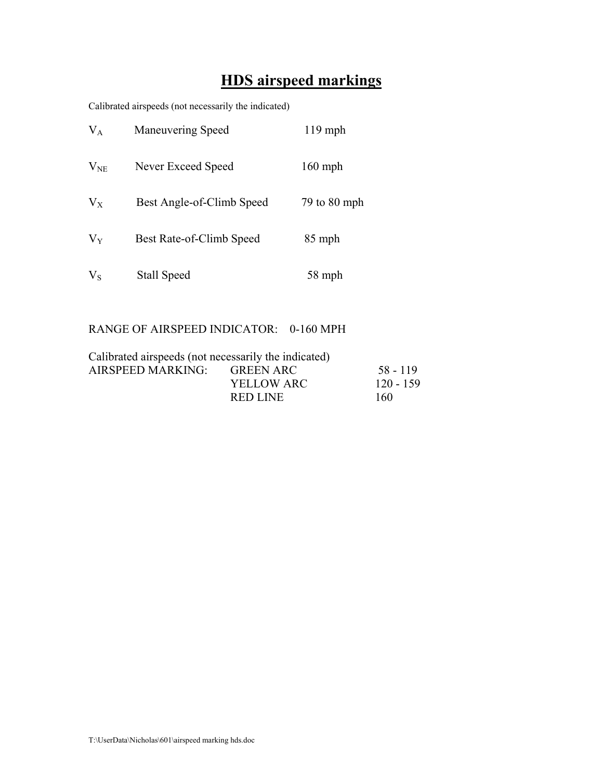# **HDS airspeed markings**

Calibrated airspeeds (not necessarily the indicated)

| $V_A$    | <b>Maneuvering Speed</b>  | $119$ mph    |  |
|----------|---------------------------|--------------|--|
| $V_{NE}$ | Never Exceed Speed        | $160$ mph    |  |
| $V_{X}$  | Best Angle-of-Climb Speed | 79 to 80 mph |  |
| $V_{Y}$  | Best Rate-of-Climb Speed  | 85 mph       |  |
| $V_{S}$  | <b>Stall Speed</b>        | 58 mph       |  |

## RANGE OF AIRSPEED INDICATOR: 0-160 MPH

| Calibrated airspeeds (not necessarily the indicated) |                |             |
|------------------------------------------------------|----------------|-------------|
| AIRSPEED MARKING:                                    | GREEN ARC      | 58 - 119    |
|                                                      | YELLOW ARC     | $120 - 159$ |
|                                                      | <b>REDIJNE</b> | 160         |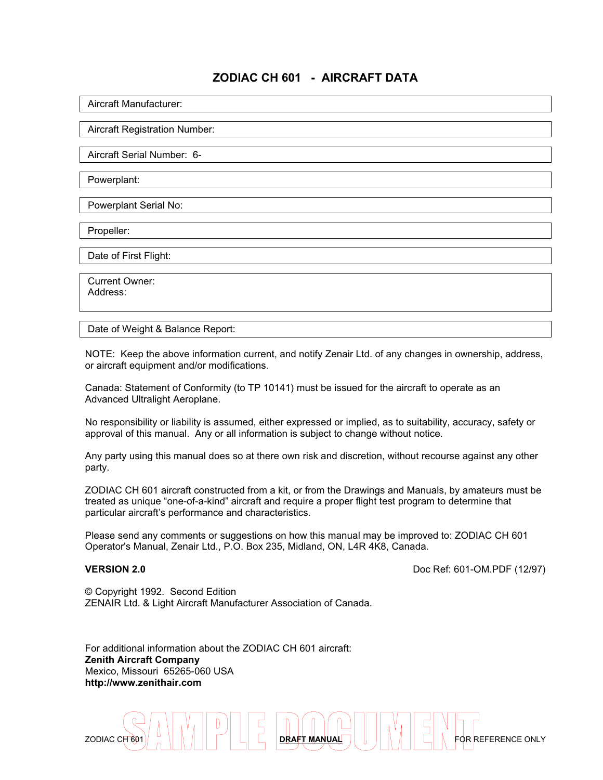## **ZODIAC CH 601 - AIRCRAFT DATA**

Aircraft Manufacturer:

Aircraft Registration Number:

Aircraft Serial Number: 6-

Powerplant:

Powerplant Serial No:

Propeller:

Date of First Flight:

 Current Owner: Address:

Date of Weight & Balance Report:

NOTE: Keep the above information current, and notify Zenair Ltd. of any changes in ownership, address, or aircraft equipment and/or modifications.

Canada: Statement of Conformity (to TP 10141) must be issued for the aircraft to operate as an Advanced Ultralight Aeroplane.

No responsibility or liability is assumed, either expressed or implied, as to suitability, accuracy, safety or approval of this manual. Any or all information is subject to change without notice.

Any party using this manual does so at there own risk and discretion, without recourse against any other party.

ZODIAC CH 601 aircraft constructed from a kit, or from the Drawings and Manuals, by amateurs must be treated as unique "one-of-a-kind" aircraft and require a proper flight test program to determine that particular aircraft's performance and characteristics.

Please send any comments or suggestions on how this manual may be improved to: ZODIAC CH 601 Operator's Manual, Zenair Ltd., P.O. Box 235, Midland, ON, L4R 4K8, Canada.

**VERSION 2.0 Doc Ref: 601-OM.PDF (12/97)** 

© Copyright 1992. Second Edition ZENAIR Ltd. & Light Aircraft Manufacturer Association of Canada.

For additional information about the ZODIAC CH 601 aircraft: **Zenith Aircraft Company** Mexico, Missouri 65265-060 USA **http://www.zenithair.com**

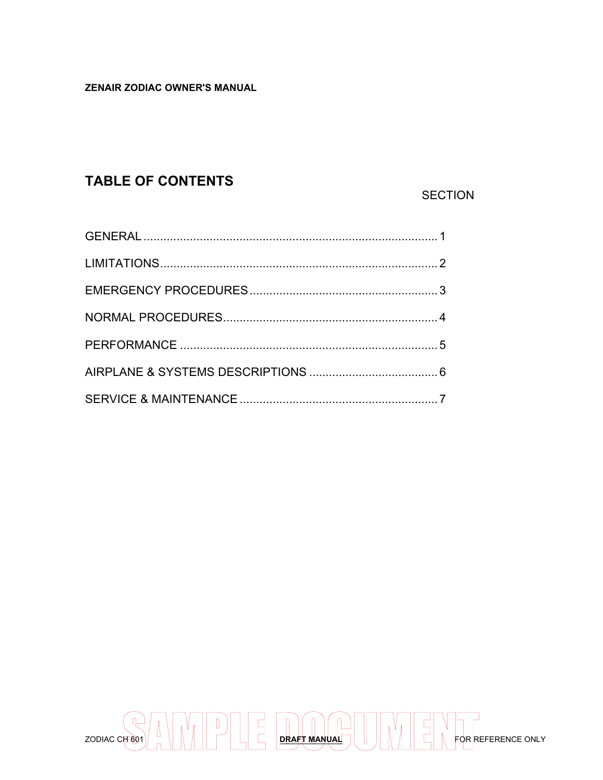#### **ZENAIR ZODIAC OWNER'S MANUAL**

# **TABLE OF CONTENTS**

## **SECTION**

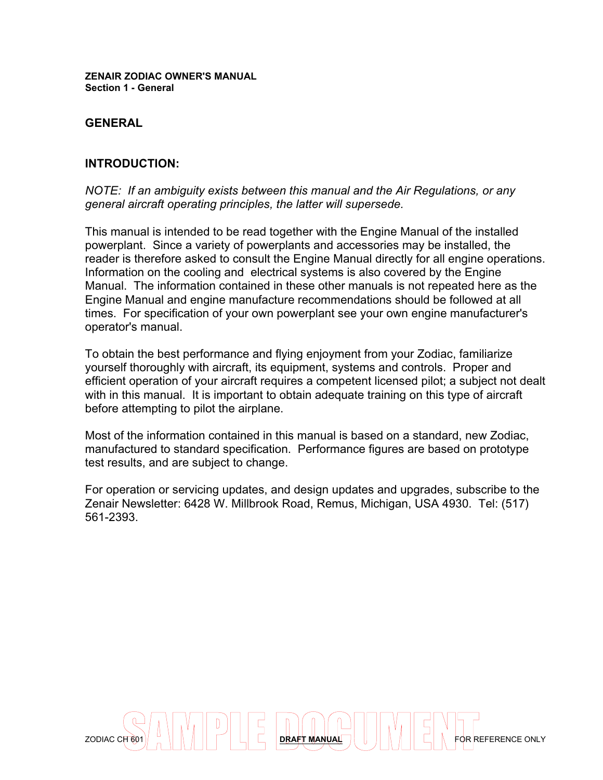**ZENAIR ZODIAC OWNER'S MANUAL Section 1 - General**

#### **GENERAL**

#### **INTRODUCTION:**

*NOTE: If an ambiguity exists between this manual and the Air Regulations, or any general aircraft operating principles, the latter will supersede.*

This manual is intended to be read together with the Engine Manual of the installed powerplant. Since a variety of powerplants and accessories may be installed, the reader is therefore asked to consult the Engine Manual directly for all engine operations. Information on the cooling and electrical systems is also covered by the Engine Manual. The information contained in these other manuals is not repeated here as the Engine Manual and engine manufacture recommendations should be followed at all times. For specification of your own powerplant see your own engine manufacturer's operator's manual.

To obtain the best performance and flying enjoyment from your Zodiac, familiarize yourself thoroughly with aircraft, its equipment, systems and controls. Proper and efficient operation of your aircraft requires a competent licensed pilot; a subject not dealt with in this manual. It is important to obtain adequate training on this type of aircraft before attempting to pilot the airplane.

Most of the information contained in this manual is based on a standard, new Zodiac, manufactured to standard specification. Performance figures are based on prototype test results, and are subject to change.

For operation or servicing updates, and design updates and upgrades, subscribe to the Zenair Newsletter: 6428 W. Millbrook Road, Remus, Michigan, USA 4930. Tel: (517) 561-2393.

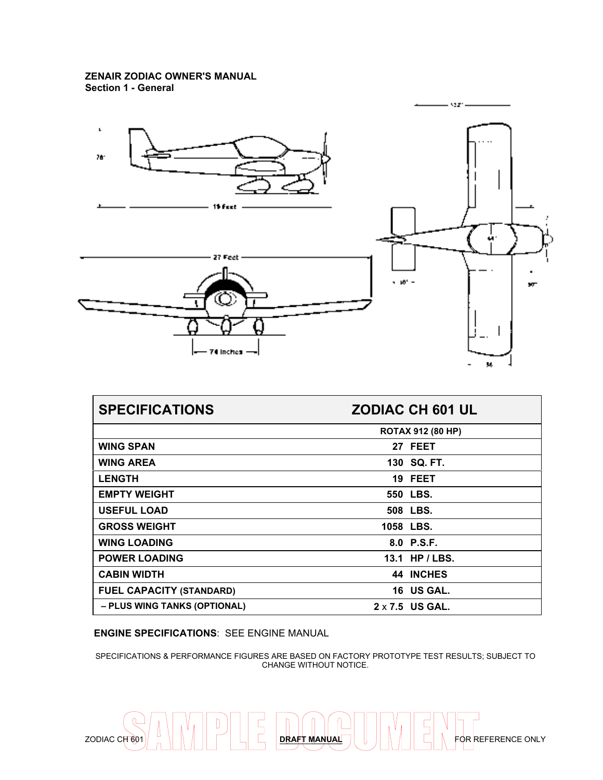

| <b>SPECIFICATIONS</b>           | <b>ZODIAC CH 601 UL</b>  |  |
|---------------------------------|--------------------------|--|
|                                 | <b>ROTAX 912 (80 HP)</b> |  |
| <b>WING SPAN</b>                | 27 FEET                  |  |
| <b>WING AREA</b>                | 130 SQ, FT.              |  |
| <b>LENGTH</b>                   | 19 FEET                  |  |
| <b>EMPTY WEIGHT</b>             | 550 LBS.                 |  |
| <b>USEFUL LOAD</b>              | 508 LBS.                 |  |
| <b>GROSS WEIGHT</b>             | 1058 LBS.                |  |
| <b>WING LOADING</b>             | 8.0 P.S.F.               |  |
| <b>POWER LOADING</b>            | 13.1 HP / LBS.           |  |
| <b>CABIN WIDTH</b>              | <b>44 INCHES</b>         |  |
| <b>FUEL CAPACITY (STANDARD)</b> | 16 US GAL.               |  |
| - PLUS WING TANKS (OPTIONAL)    | $2 \times 7.5$ US GAL.   |  |

**ENGINE SPECIFICATIONS**: SEE ENGINE MANUAL

SPECIFICATIONS & PERFORMANCE FIGURES ARE BASED ON FACTORY PROTOTYPE TEST RESULTS; SUBJECT TO CHANGE WITHOUT NOTICE.

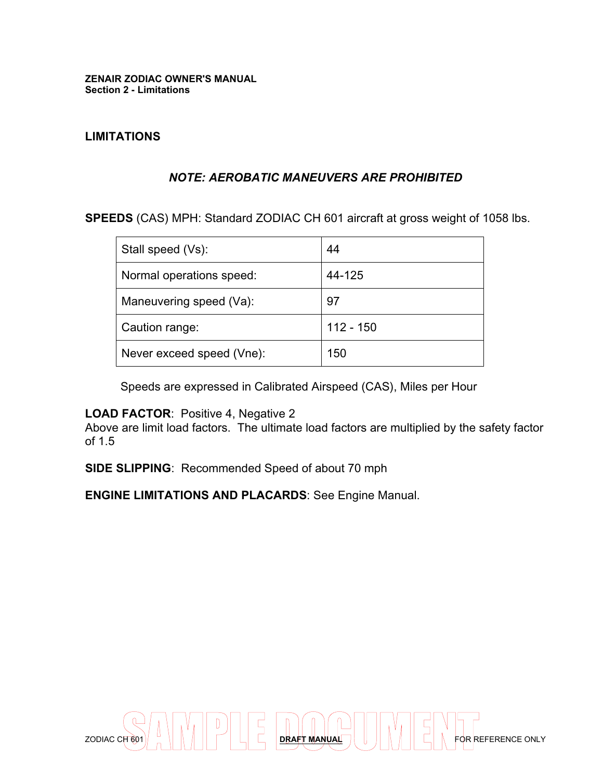#### **LIMITATIONS**

#### *NOTE: AEROBATIC MANEUVERS ARE PROHIBITED*

**SPEEDS** (CAS) MPH: Standard ZODIAC CH 601 aircraft at gross weight of 1058 lbs.

| Stall speed (Vs):         | 44          |
|---------------------------|-------------|
| Normal operations speed:  | 44-125      |
| Maneuvering speed (Va):   | 97          |
| Caution range:            | $112 - 150$ |
| Never exceed speed (Vne): | 150         |

Speeds are expressed in Calibrated Airspeed (CAS), Miles per Hour

## **LOAD FACTOR**: Positive 4, Negative 2

Above are limit load factors. The ultimate load factors are multiplied by the safety factor of 1.5

**SIDE SLIPPING**: Recommended Speed of about 70 mph

**ENGINE LIMITATIONS AND PLACARDS**: See Engine Manual.

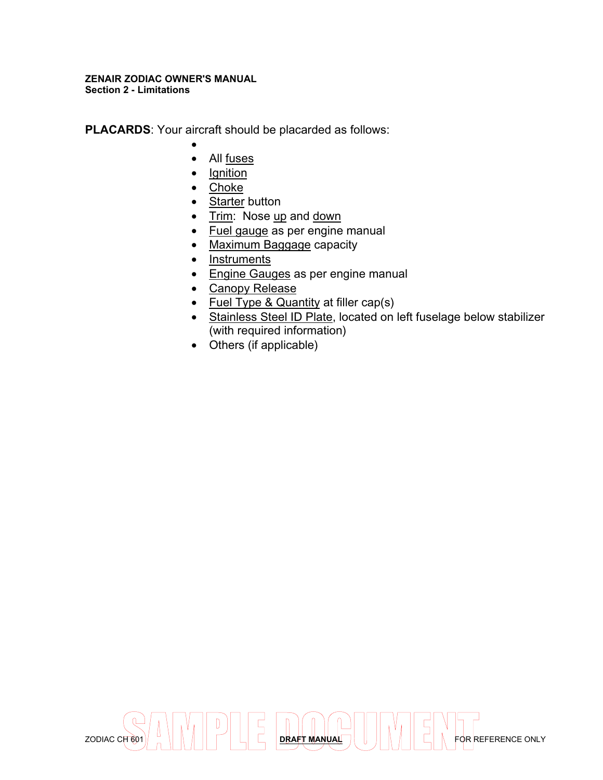#### **ZENAIR ZODIAC OWNER'S MANUAL Section 2 - Limitations**

**PLACARDS**: Your aircraft should be placarded as follows:

- •
- All fuses
- Ignition
- Choke
- Starter button
- Trim: Nose up and down
- Fuel gauge as per engine manual
- Maximum Baggage capacity
- Instruments
- Engine Gauges as per engine manual
- Canopy Release
- Fuel Type & Quantity at filler cap(s)
- Stainless Steel ID Plate, located on left fuselage below stabilizer (with required information)
- Others (if applicable)

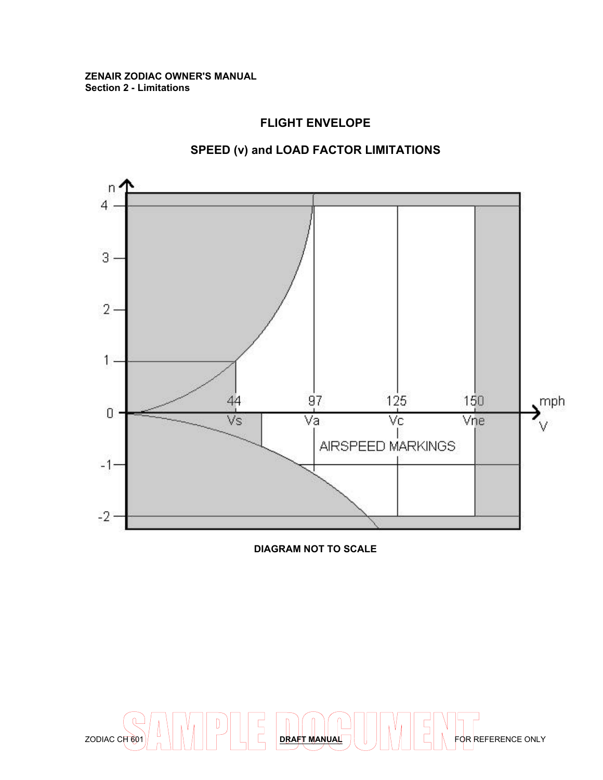#### **ZENAIR ZODIAC OWNER'S MANUAL Section 2 - Limitations**

#### **FLIGHT ENVELOPE**

## **SPEED (v) and LOAD FACTOR LIMITATIONS**



**DIAGRAM NOT TO SCALE**

 $ZODIAC C<sub>H</sub>$  60 WDDLE DRAFT MANUAL **DRAFT MANUAL JUNIOR REFERENCE ONLY**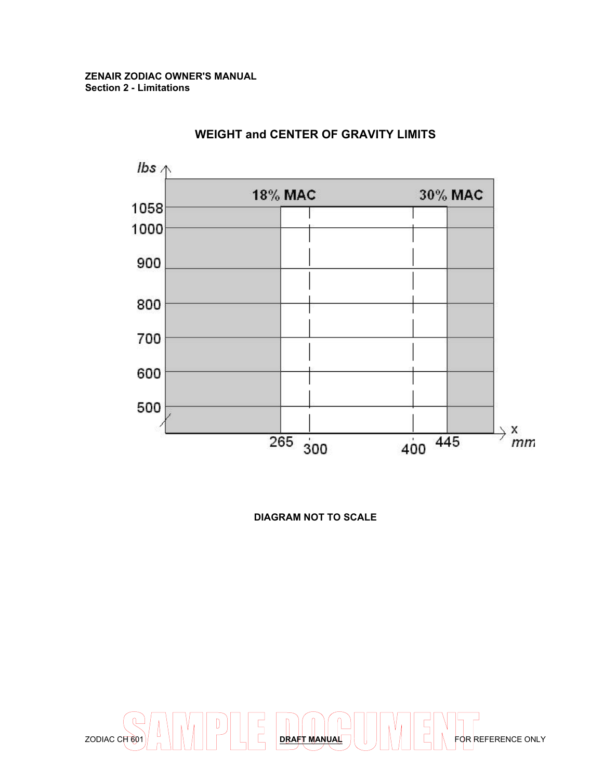

## **WEIGHT and CENTER OF GRAVITY LIMITS**

**DIAGRAM NOT TO SCALE**

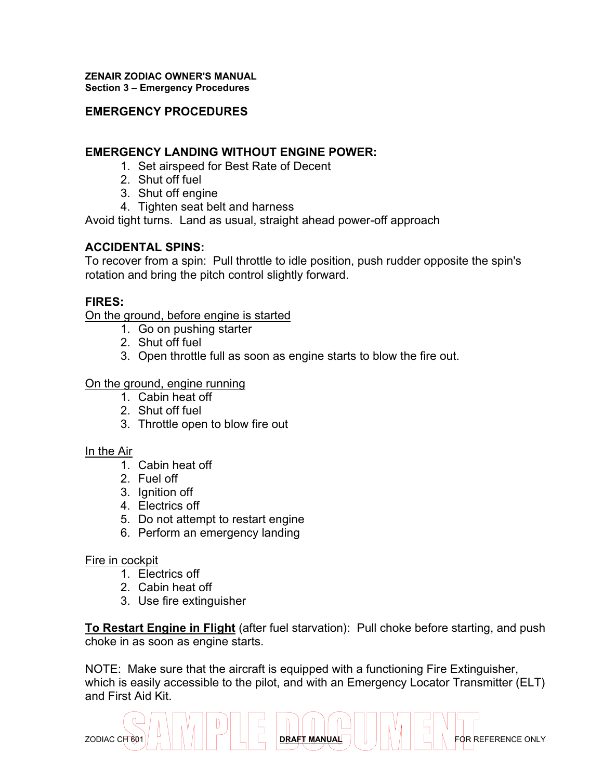#### **ZENAIR ZODIAC OWNER'S MANUAL Section 3 – Emergency Procedures**

## **EMERGENCY PROCEDURES**

#### **EMERGENCY LANDING WITHOUT ENGINE POWER:**

- 1. Set airspeed for Best Rate of Decent
- 2. Shut off fuel
- 3. Shut off engine
- 4. Tighten seat belt and harness

Avoid tight turns. Land as usual, straight ahead power-off approach

## **ACCIDENTAL SPINS:**

To recover from a spin: Pull throttle to idle position, push rudder opposite the spin's rotation and bring the pitch control slightly forward.

## **FIRES:**

On the ground, before engine is started

- 1. Go on pushing starter
- 2. Shut off fuel
- 3. Open throttle full as soon as engine starts to blow the fire out.

#### On the ground, engine running

- 1. Cabin heat off
- 2. Shut off fuel
- 3. Throttle open to blow fire out

#### In the Air

- 1. Cabin heat off
- 2. Fuel off
- 3. Ignition off
- 4. Electrics off
- 5. Do not attempt to restart engine
- 6. Perform an emergency landing

#### Fire in cockpit

- 1. Electrics off
- 2. Cabin heat off
- 3. Use fire extinguisher

**To Restart Engine in Flight** (after fuel starvation): Pull choke before starting, and push choke in as soon as engine starts.

NOTE: Make sure that the aircraft is equipped with a functioning Fire Extinguisher, which is easily accessible to the pilot, and with an Emergency Locator Transmitter (ELT) and First Aid Kit.

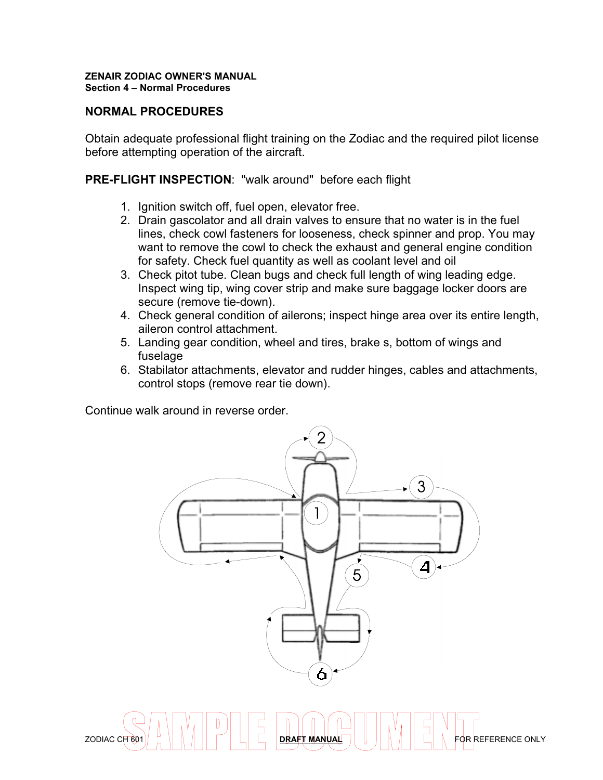## **NORMAL PROCEDURES**

Obtain adequate professional flight training on the Zodiac and the required pilot license before attempting operation of the aircraft.

## **PRE-FLIGHT INSPECTION**: "walk around" before each flight

- 1. Ignition switch off, fuel open, elevator free.
- 2. Drain gascolator and all drain valves to ensure that no water is in the fuel lines, check cowl fasteners for looseness, check spinner and prop. You may want to remove the cowl to check the exhaust and general engine condition for safety. Check fuel quantity as well as coolant level and oil
- 3. Check pitot tube. Clean bugs and check full length of wing leading edge. Inspect wing tip, wing cover strip and make sure baggage locker doors are secure (remove tie-down).
- 4. Check general condition of ailerons; inspect hinge area over its entire length, aileron control attachment.
- 5. Landing gear condition, wheel and tires, brake s, bottom of wings and fuselage
- 6. Stabilator attachments, elevator and rudder hinges, cables and attachments, control stops (remove rear tie down).

Continue walk around in reverse order.



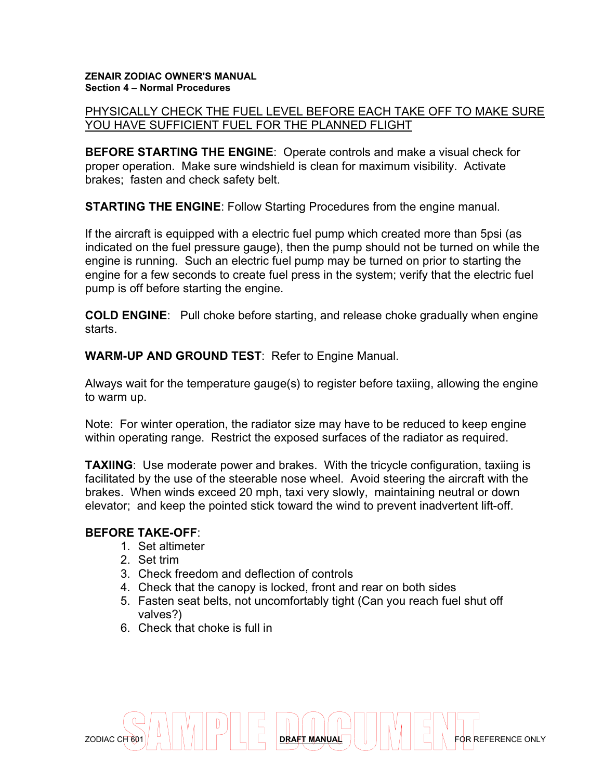#### PHYSICALLY CHECK THE FUEL LEVEL BEFORE EACH TAKE OFF TO MAKE SURE YOU HAVE SUFFICIENT FUEL FOR THE PLANNED FLIGHT

**BEFORE STARTING THE ENGINE**: Operate controls and make a visual check for proper operation. Make sure windshield is clean for maximum visibility. Activate brakes; fasten and check safety belt.

**STARTING THE ENGINE**: Follow Starting Procedures from the engine manual.

If the aircraft is equipped with a electric fuel pump which created more than 5psi (as indicated on the fuel pressure gauge), then the pump should not be turned on while the engine is running. Such an electric fuel pump may be turned on prior to starting the engine for a few seconds to create fuel press in the system; verify that the electric fuel pump is off before starting the engine.

**COLD ENGINE**: Pull choke before starting, and release choke gradually when engine starts.

**WARM-UP AND GROUND TEST**: Refer to Engine Manual.

Always wait for the temperature gauge(s) to register before taxiing, allowing the engine to warm up.

Note: For winter operation, the radiator size may have to be reduced to keep engine within operating range. Restrict the exposed surfaces of the radiator as required.

**TAXIING:** Use moderate power and brakes. With the tricycle configuration, taxiing is facilitated by the use of the steerable nose wheel. Avoid steering the aircraft with the brakes. When winds exceed 20 mph, taxi very slowly, maintaining neutral or down elevator; and keep the pointed stick toward the wind to prevent inadvertent lift-off.

#### **BEFORE TAKE-OFF**:

- 1. Set altimeter
- 2. Set trim
- 3. Check freedom and deflection of controls
- 4. Check that the canopy is locked, front and rear on both sides
- 5. Fasten seat belts, not uncomfortably tight (Can you reach fuel shut off valves?)
- 6. Check that choke is full in

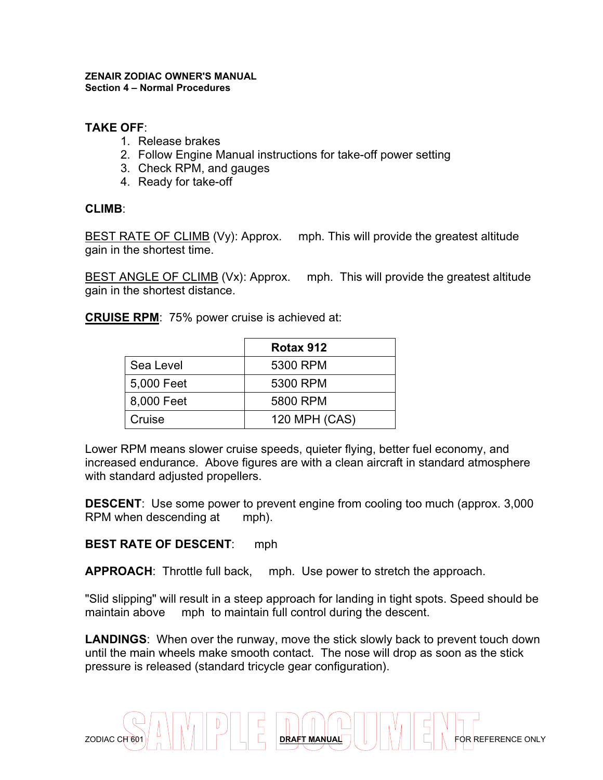## **TAKE OFF**:

- 1. Release brakes
- 2. Follow Engine Manual instructions for take-off power setting
- 3. Check RPM, and gauges
- 4. Ready for take-off

## **CLIMB**:

BEST RATE OF CLIMB (Vy): Approx. mph. This will provide the greatest altitude gain in the shortest time.

BEST ANGLE OF CLIMB (Vx): Approx. mph. This will provide the greatest altitude gain in the shortest distance.

**CRUISE RPM**: 75% power cruise is achieved at:

|            | Rotax 912     |
|------------|---------------|
| Sea Level  | 5300 RPM      |
| 5,000 Feet | 5300 RPM      |
| 8,000 Feet | 5800 RPM      |
| Cruise     | 120 MPH (CAS) |

Lower RPM means slower cruise speeds, quieter flying, better fuel economy, and increased endurance. Above figures are with a clean aircraft in standard atmosphere with standard adjusted propellers.

**DESCENT:** Use some power to prevent engine from cooling too much (approx. 3,000) RPM when descending at mph).

## **BEST RATE OF DESCENT**: mph

**APPROACH**: Throttle full back, mph. Use power to stretch the approach.

"Slid slipping" will result in a steep approach for landing in tight spots. Speed should be maintain above mph to maintain full control during the descent.

**LANDINGS**: When over the runway, move the stick slowly back to prevent touch down until the main wheels make smooth contact. The nose will drop as soon as the stick pressure is released (standard tricycle gear configuration).

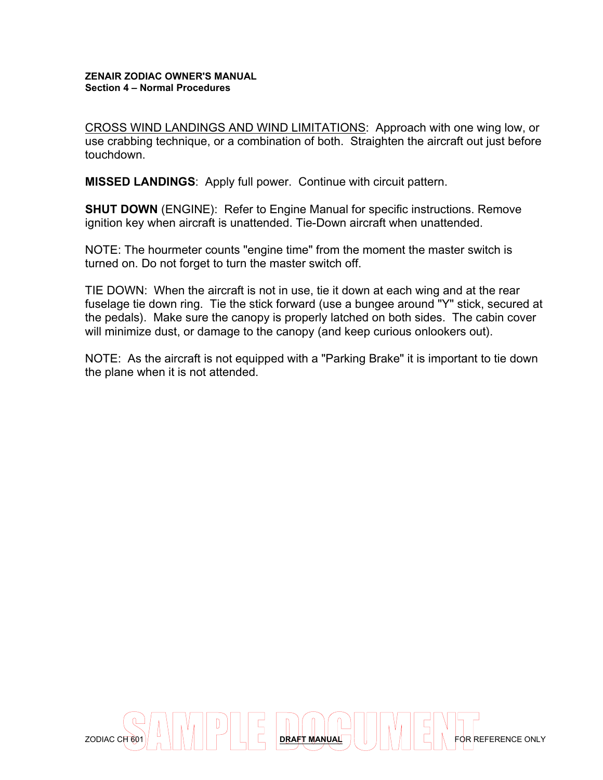CROSS WIND LANDINGS AND WIND LIMITATIONS: Approach with one wing low, or use crabbing technique, or a combination of both. Straighten the aircraft out just before touchdown.

**MISSED LANDINGS**: Apply full power. Continue with circuit pattern.

**SHUT DOWN** (ENGINE): Refer to Engine Manual for specific instructions. Remove ignition key when aircraft is unattended. Tie-Down aircraft when unattended.

NOTE: The hourmeter counts "engine time" from the moment the master switch is turned on. Do not forget to turn the master switch off.

TIE DOWN: When the aircraft is not in use, tie it down at each wing and at the rear fuselage tie down ring. Tie the stick forward (use a bungee around "Y" stick, secured at the pedals). Make sure the canopy is properly latched on both sides. The cabin cover will minimize dust, or damage to the canopy (and keep curious onlookers out).

NOTE: As the aircraft is not equipped with a "Parking Brake" it is important to tie down the plane when it is not attended.

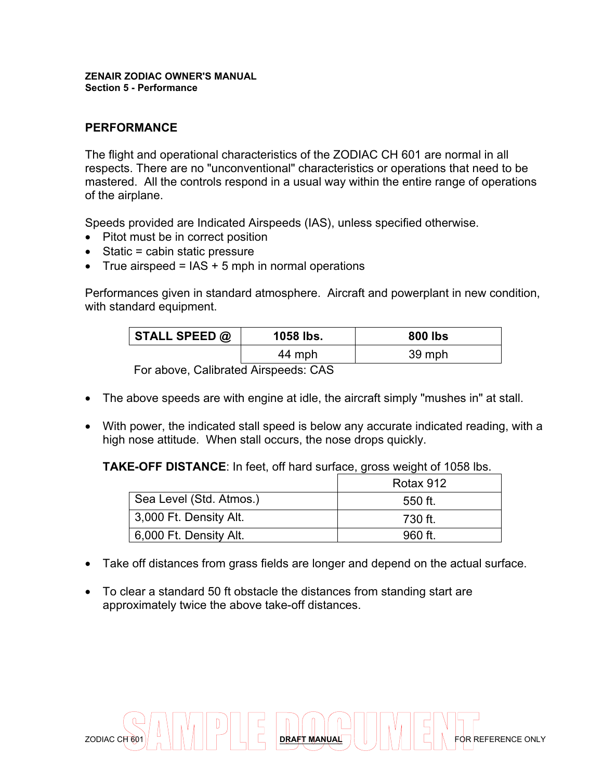#### **ZENAIR ZODIAC OWNER'S MANUAL Section 5 - Performance**

## **PERFORMANCE**

The flight and operational characteristics of the ZODIAC CH 601 are normal in all respects. There are no "unconventional" characteristics or operations that need to be mastered. All the controls respond in a usual way within the entire range of operations of the airplane.

Speeds provided are Indicated Airspeeds (IAS), unless specified otherwise.

- Pitot must be in correct position
- Static = cabin static pressure
- True airspeed =  $IAS + 5$  mph in normal operations

Performances given in standard atmosphere. Aircraft and powerplant in new condition, with standard equipment.

| STALL SPEED $@$ | 1058 lbs. | <b>800 lbs</b> |  |
|-----------------|-----------|----------------|--|
|                 | 44 mph    | 39 mph         |  |

For above, Calibrated Airspeeds: CAS

- The above speeds are with engine at idle, the aircraft simply "mushes in" at stall.
- With power, the indicated stall speed is below any accurate indicated reading, with a high nose attitude. When stall occurs, the nose drops quickly.

**TAKE-OFF DISTANCE**: In feet, off hard surface, gross weight of 1058 lbs.

|                         | Rotax 912 |
|-------------------------|-----------|
| Sea Level (Std. Atmos.) | 550 ft.   |
| 3,000 Ft. Density Alt.  | 730 ft.   |
| 6,000 Ft. Density Alt.  | 960 ft.   |

- Take off distances from grass fields are longer and depend on the actual surface.
- To clear a standard 50 ft obstacle the distances from standing start are approximately twice the above take-off distances.

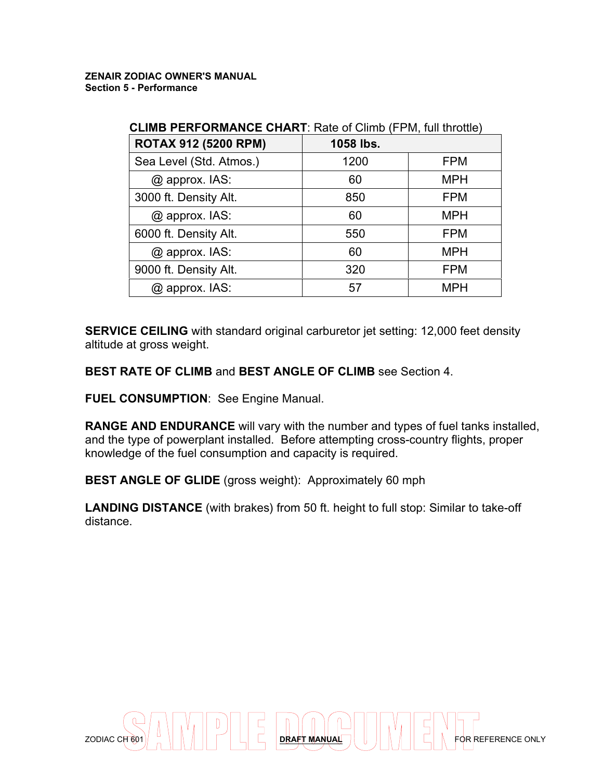| <b>CLIND FLAFORMANGE GHART.</b> INGLE OF CHILID (IF IVI, IGH GHOULD)<br><b>ROTAX 912 (5200 RPM)</b><br>1058 lbs. |      |            |  |  |
|------------------------------------------------------------------------------------------------------------------|------|------------|--|--|
|                                                                                                                  |      |            |  |  |
| Sea Level (Std. Atmos.)                                                                                          | 1200 | <b>FPM</b> |  |  |
| @ approx. IAS:                                                                                                   | 60   | <b>MPH</b> |  |  |
| 3000 ft. Density Alt.                                                                                            | 850  | <b>FPM</b> |  |  |
| @ approx. IAS:                                                                                                   | 60   | <b>MPH</b> |  |  |
| 6000 ft. Density Alt.                                                                                            | 550  | <b>FPM</b> |  |  |
| $@$ approx. IAS:                                                                                                 | 60   | <b>MPH</b> |  |  |
| 9000 ft. Density Alt.                                                                                            | 320  | <b>FPM</b> |  |  |
| $@$ approx. IAS:                                                                                                 | 57   | <b>MPH</b> |  |  |

## **CLIMB PERFORMANCE CHART**: Rate of Climb (FPM, full throttle)

**SERVICE CEILING** with standard original carburetor jet setting: 12,000 feet density altitude at gross weight.

**BEST RATE OF CLIMB** and **BEST ANGLE OF CLIMB** see Section 4.

**FUEL CONSUMPTION**: See Engine Manual.

**RANGE AND ENDURANCE** will vary with the number and types of fuel tanks installed, and the type of powerplant installed. Before attempting cross-country flights, proper knowledge of the fuel consumption and capacity is required.

**BEST ANGLE OF GLIDE** (gross weight): Approximately 60 mph

**LANDING DISTANCE** (with brakes) from 50 ft. height to full stop: Similar to take-off distance.

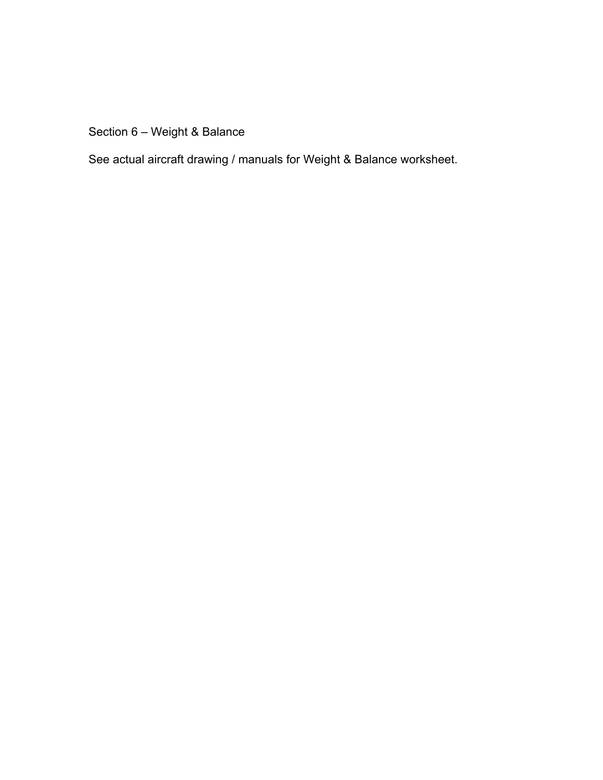Section 6 – Weight & Balance

See actual aircraft drawing / manuals for Weight & Balance worksheet.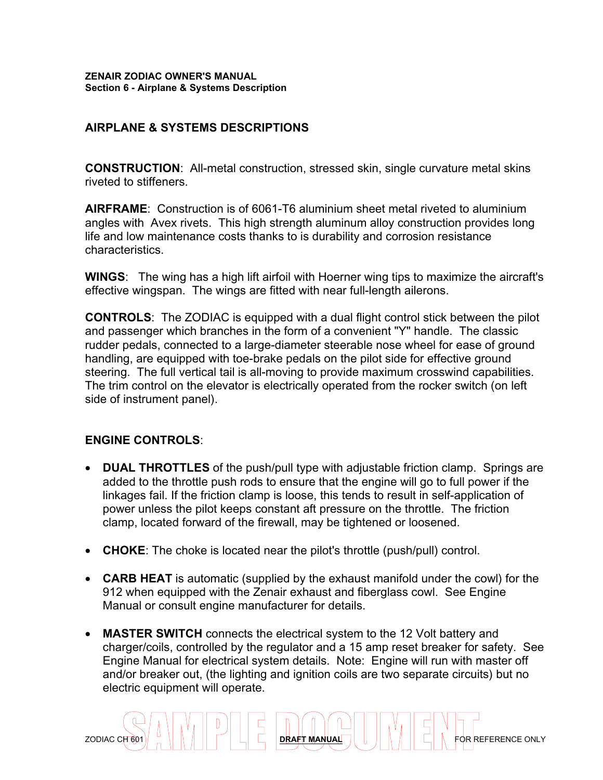## **AIRPLANE & SYSTEMS DESCRIPTIONS**

**CONSTRUCTION**: All-metal construction, stressed skin, single curvature metal skins riveted to stiffeners.

**AIRFRAME**: Construction is of 6061-T6 aluminium sheet metal riveted to aluminium angles with Avex rivets. This high strength aluminum alloy construction provides long life and low maintenance costs thanks to is durability and corrosion resistance characteristics.

**WINGS**: The wing has a high lift airfoil with Hoerner wing tips to maximize the aircraft's effective wingspan. The wings are fitted with near full-length ailerons.

**CONTROLS**: The ZODIAC is equipped with a dual flight control stick between the pilot and passenger which branches in the form of a convenient "Y" handle. The classic rudder pedals, connected to a large-diameter steerable nose wheel for ease of ground handling, are equipped with toe-brake pedals on the pilot side for effective ground steering. The full vertical tail is all-moving to provide maximum crosswind capabilities. The trim control on the elevator is electrically operated from the rocker switch (on left side of instrument panel).

## **ENGINE CONTROLS**:

- **DUAL THROTTLES** of the push/pull type with adjustable friction clamp. Springs are added to the throttle push rods to ensure that the engine will go to full power if the linkages fail. If the friction clamp is loose, this tends to result in self-application of power unless the pilot keeps constant aft pressure on the throttle. The friction clamp, located forward of the firewall, may be tightened or loosened.
- **CHOKE**: The choke is located near the pilot's throttle (push/pull) control.
- **CARB HEAT** is automatic (supplied by the exhaust manifold under the cowl) for the 912 when equipped with the Zenair exhaust and fiberglass cowl. See Engine Manual or consult engine manufacturer for details.
- **MASTER SWITCH** connects the electrical system to the 12 Volt battery and charger/coils, controlled by the regulator and a 15 amp reset breaker for safety. See Engine Manual for electrical system details. Note: Engine will run with master off and/or breaker out, (the lighting and ignition coils are two separate circuits) but no electric equipment will operate.

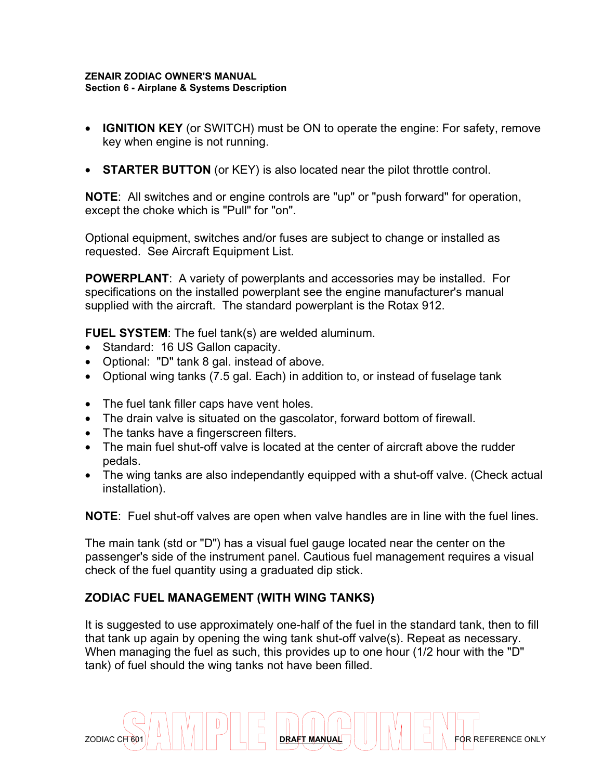- **IGNITION KEY** (or SWITCH) must be ON to operate the engine: For safety, remove key when engine is not running.
- **STARTER BUTTON** (or KEY) is also located near the pilot throttle control.

**NOTE**: All switches and or engine controls are "up" or "push forward" for operation, except the choke which is "Pull" for "on".

Optional equipment, switches and/or fuses are subject to change or installed as requested. See Aircraft Equipment List.

**POWERPLANT**: A variety of powerplants and accessories may be installed. For specifications on the installed powerplant see the engine manufacturer's manual supplied with the aircraft. The standard powerplant is the Rotax 912.

**FUEL SYSTEM**: The fuel tank(s) are welded aluminum.

- Standard: 16 US Gallon capacity.
- Optional: "D" tank 8 gal. instead of above.
- Optional wing tanks (7.5 gal. Each) in addition to, or instead of fuselage tank
- The fuel tank filler caps have vent holes.
- The drain valve is situated on the gascolator, forward bottom of firewall.
- The tanks have a fingerscreen filters.
- The main fuel shut-off valve is located at the center of aircraft above the rudder pedals.
- The wing tanks are also independantly equipped with a shut-off valve. (Check actual installation).

**NOTE**: Fuel shut-off valves are open when valve handles are in line with the fuel lines.

The main tank (std or "D") has a visual fuel gauge located near the center on the passenger's side of the instrument panel. Cautious fuel management requires a visual check of the fuel quantity using a graduated dip stick.

## **ZODIAC FUEL MANAGEMENT (WITH WING TANKS)**

It is suggested to use approximately one-half of the fuel in the standard tank, then to fill that tank up again by opening the wing tank shut-off valve(s). Repeat as necessary. When managing the fuel as such, this provides up to one hour (1/2 hour with the "D" tank) of fuel should the wing tanks not have been filled.

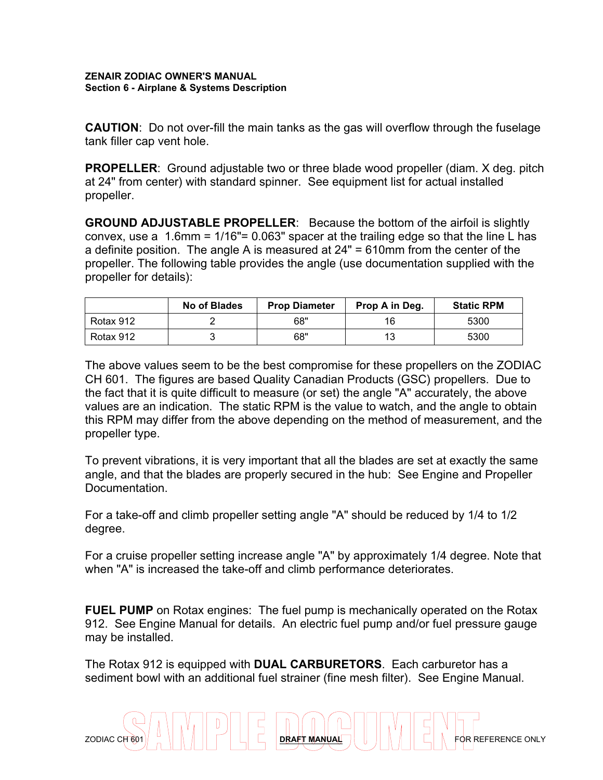**CAUTION**: Do not over-fill the main tanks as the gas will overflow through the fuselage tank filler cap vent hole.

**PROPELLER**: Ground adjustable two or three blade wood propeller (diam. X deg. pitch at 24" from center) with standard spinner. See equipment list for actual installed propeller.

**GROUND ADJUSTABLE PROPELLER**: Because the bottom of the airfoil is slightly convex, use a 1.6mm = 1/16"= 0.063" spacer at the trailing edge so that the line L has a definite position. The angle A is measured at 24" = 610mm from the center of the propeller. The following table provides the angle (use documentation supplied with the propeller for details):

|           | No of Blades | <b>Prop Diameter</b> | Prop A in Deg. | <b>Static RPM</b> |
|-----------|--------------|----------------------|----------------|-------------------|
| Rotax 912 |              | 68"                  | 16             | 5300              |
| Rotax 912 |              | 68"                  | 13             | 5300              |

The above values seem to be the best compromise for these propellers on the ZODIAC CH 601. The figures are based Quality Canadian Products (GSC) propellers. Due to the fact that it is quite difficult to measure (or set) the angle "A" accurately, the above values are an indication. The static RPM is the value to watch, and the angle to obtain this RPM may differ from the above depending on the method of measurement, and the propeller type.

To prevent vibrations, it is very important that all the blades are set at exactly the same angle, and that the blades are properly secured in the hub: See Engine and Propeller Documentation.

For a take-off and climb propeller setting angle "A" should be reduced by 1/4 to 1/2 degree.

For a cruise propeller setting increase angle "A" by approximately 1/4 degree. Note that when "A" is increased the take-off and climb performance deteriorates.

**FUEL PUMP** on Rotax engines: The fuel pump is mechanically operated on the Rotax 912. See Engine Manual for details. An electric fuel pump and/or fuel pressure gauge may be installed.

The Rotax 912 is equipped with **DUAL CARBURETORS**. Each carburetor has a sediment bowl with an additional fuel strainer (fine mesh filter). See Engine Manual.

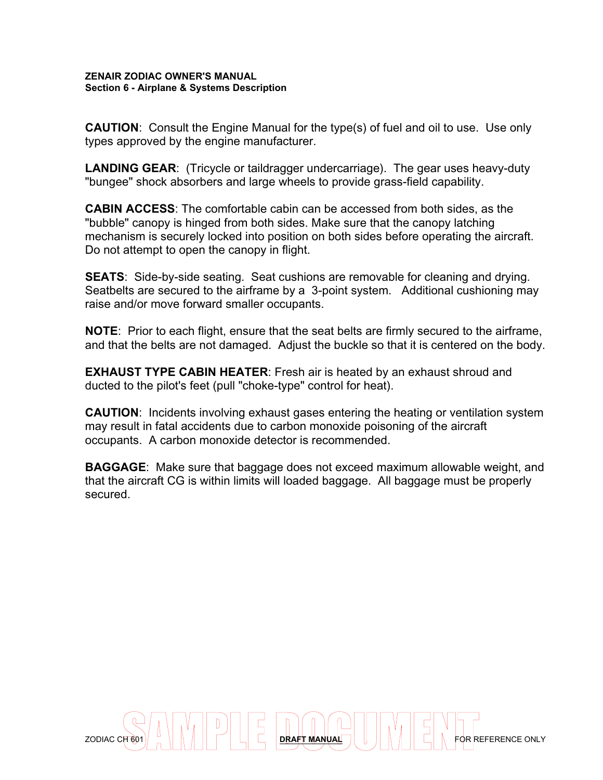**CAUTION**: Consult the Engine Manual for the type(s) of fuel and oil to use. Use only types approved by the engine manufacturer.

**LANDING GEAR**: (Tricycle or taildragger undercarriage). The gear uses heavy-duty "bungee" shock absorbers and large wheels to provide grass-field capability.

**CABIN ACCESS**: The comfortable cabin can be accessed from both sides, as the "bubble" canopy is hinged from both sides. Make sure that the canopy latching mechanism is securely locked into position on both sides before operating the aircraft. Do not attempt to open the canopy in flight.

**SEATS**: Side-by-side seating. Seat cushions are removable for cleaning and drying. Seatbelts are secured to the airframe by a 3-point system. Additional cushioning may raise and/or move forward smaller occupants.

**NOTE**: Prior to each flight, ensure that the seat belts are firmly secured to the airframe, and that the belts are not damaged. Adjust the buckle so that it is centered on the body.

**EXHAUST TYPE CABIN HEATER:** Fresh air is heated by an exhaust shroud and ducted to the pilot's feet (pull "choke-type" control for heat).

**CAUTION**: Incidents involving exhaust gases entering the heating or ventilation system may result in fatal accidents due to carbon monoxide poisoning of the aircraft occupants. A carbon monoxide detector is recommended.

**BAGGAGE**: Make sure that baggage does not exceed maximum allowable weight, and that the aircraft CG is within limits will loaded baggage. All baggage must be properly secured.

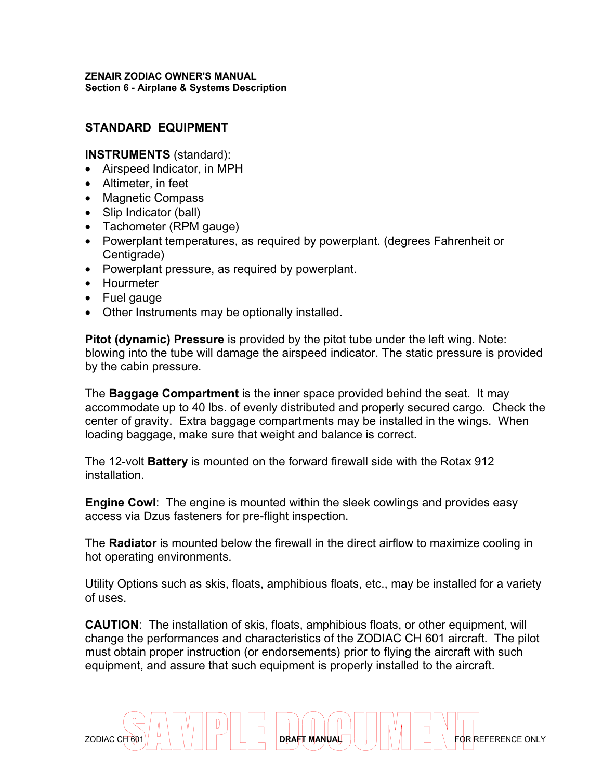## **STANDARD EQUIPMENT**

#### **INSTRUMENTS** (standard):

- Airspeed Indicator, in MPH
- Altimeter, in feet
- Magnetic Compass
- Slip Indicator (ball)
- Tachometer (RPM gauge)
- Powerplant temperatures, as required by powerplant. (degrees Fahrenheit or Centigrade)
- Powerplant pressure, as required by powerplant.
- Hourmeter
- Fuel gauge
- Other Instruments may be optionally installed.

**Pitot (dynamic) Pressure** is provided by the pitot tube under the left wing. Note: blowing into the tube will damage the airspeed indicator. The static pressure is provided by the cabin pressure.

The **Baggage Compartment** is the inner space provided behind the seat. It may accommodate up to 40 lbs. of evenly distributed and properly secured cargo. Check the center of gravity. Extra baggage compartments may be installed in the wings. When loading baggage, make sure that weight and balance is correct.

The 12-volt **Battery** is mounted on the forward firewall side with the Rotax 912 installation.

**Engine Cowl**: The engine is mounted within the sleek cowlings and provides easy access via Dzus fasteners for pre-flight inspection.

The **Radiator** is mounted below the firewall in the direct airflow to maximize cooling in hot operating environments.

Utility Options such as skis, floats, amphibious floats, etc., may be installed for a variety of uses.

**CAUTION**: The installation of skis, floats, amphibious floats, or other equipment, will change the performances and characteristics of the ZODIAC CH 601 aircraft. The pilot must obtain proper instruction (or endorsements) prior to flying the aircraft with such equipment, and assure that such equipment is properly installed to the aircraft.

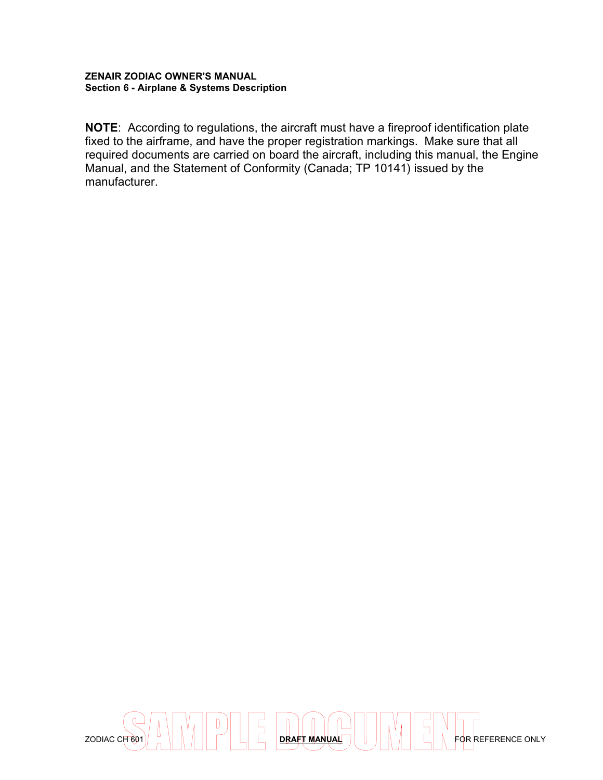**NOTE**: According to regulations, the aircraft must have a fireproof identification plate fixed to the airframe, and have the proper registration markings. Make sure that all required documents are carried on board the aircraft, including this manual, the Engine Manual, and the Statement of Conformity (Canada; TP 10141) issued by the manufacturer.

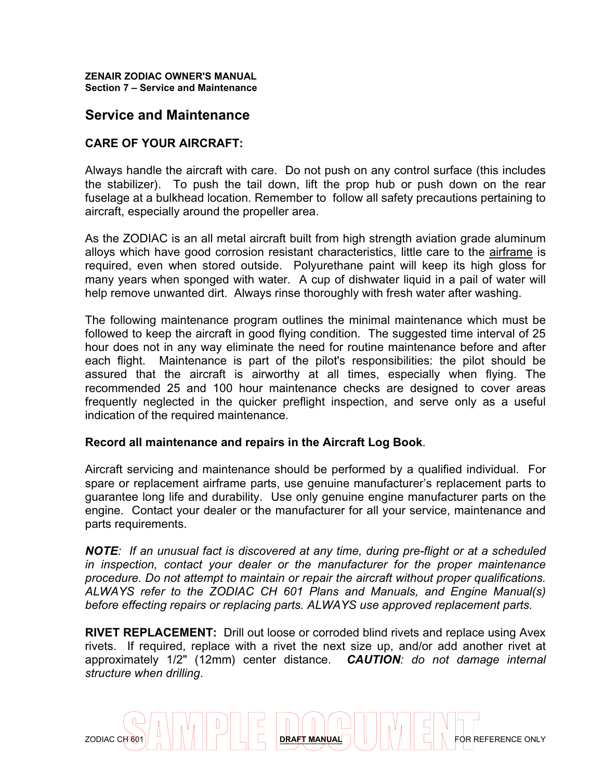#### **ZENAIR ZODIAC OWNER'S MANUAL Section 7 – Service and Maintenance**

## **Service and Maintenance**

## **CARE OF YOUR AIRCRAFT:**

Always handle the aircraft with care. Do not push on any control surface (this includes the stabilizer). To push the tail down, lift the prop hub or push down on the rear fuselage at a bulkhead location. Remember to follow all safety precautions pertaining to aircraft, especially around the propeller area.

As the ZODIAC is an all metal aircraft built from high strength aviation grade aluminum alloys which have good corrosion resistant characteristics, little care to the airframe is required, even when stored outside. Polyurethane paint will keep its high gloss for many years when sponged with water. A cup of dishwater liquid in a pail of water will help remove unwanted dirt. Always rinse thoroughly with fresh water after washing.

The following maintenance program outlines the minimal maintenance which must be followed to keep the aircraft in good flying condition. The suggested time interval of 25 hour does not in any way eliminate the need for routine maintenance before and after each flight. Maintenance is part of the pilot's responsibilities: the pilot should be assured that the aircraft is airworthy at all times, especially when flying. The recommended 25 and 100 hour maintenance checks are designed to cover areas frequently neglected in the quicker preflight inspection, and serve only as a useful indication of the required maintenance.

#### **Record all maintenance and repairs in the Aircraft Log Book**.

Aircraft servicing and maintenance should be performed by a qualified individual. For spare or replacement airframe parts, use genuine manufacturer's replacement parts to guarantee long life and durability. Use only genuine engine manufacturer parts on the engine. Contact your dealer or the manufacturer for all your service, maintenance and parts requirements.

*NOTE: If an unusual fact is discovered at any time, during pre-flight or at a scheduled in inspection, contact your dealer or the manufacturer for the proper maintenance procedure. Do not attempt to maintain or repair the aircraft without proper qualifications. ALWAYS refer to the ZODIAC CH 601 Plans and Manuals, and Engine Manual(s) before effecting repairs or replacing parts. ALWAYS use approved replacement parts.*

**RIVET REPLACEMENT:** Drill out loose or corroded blind rivets and replace using Avex rivets. If required, replace with a rivet the next size up, and/or add another rivet at approximately 1/2" (12mm) center distance. *CAUTION: do not damage internal structure when drilling*.

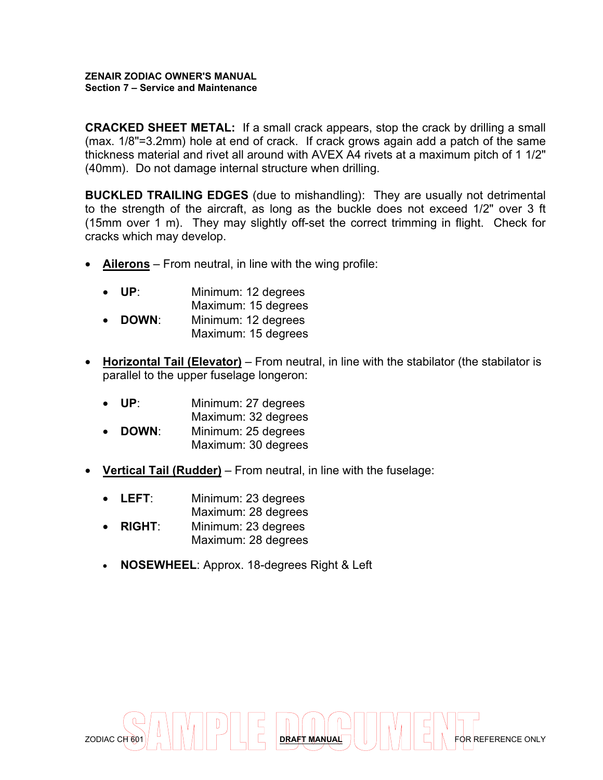#### **ZENAIR ZODIAC OWNER'S MANUAL Section 7 – Service and Maintenance**

**CRACKED SHEET METAL:** If a small crack appears, stop the crack by drilling a small (max. 1/8"=3.2mm) hole at end of crack. If crack grows again add a patch of the same thickness material and rivet all around with AVEX A4 rivets at a maximum pitch of 1 1/2" (40mm). Do not damage internal structure when drilling.

**BUCKLED TRAILING EDGES** (due to mishandling): They are usually not detrimental to the strength of the aircraft, as long as the buckle does not exceed 1/2" over 3 ft (15mm over 1 m). They may slightly off-set the correct trimming in flight. Check for cracks which may develop.

• **Ailerons** – From neutral, in line with the wing profile:

| $\bullet$ | UP∶   | Minimum: 12 degrees<br>Maximum: 15 degrees |
|-----------|-------|--------------------------------------------|
| $\bullet$ | DOWN: | Minimum: 12 degrees                        |
|           |       | Maximum: 15 degrees                        |

- **Horizontal Tail (Elevator)** From neutral, in line with the stabilator (the stabilator is parallel to the upper fuselage longeron:
	- **UP**: Minimum: 27 degrees
	- Maximum: 32 degrees **DOWN:** Minimum: 25 degrees
	- Maximum: 30 degrees
- **Vertical Tail (Rudder)** From neutral, in line with the fuselage:
	- **LEFT**: Minimum: 23 degrees
	- Maximum: 28 degrees
	- **RIGHT**: Minimum: 23 degrees Maximum: 28 degrees
	- **NOSEWHEEL**: Approx. 18-degrees Right & Left

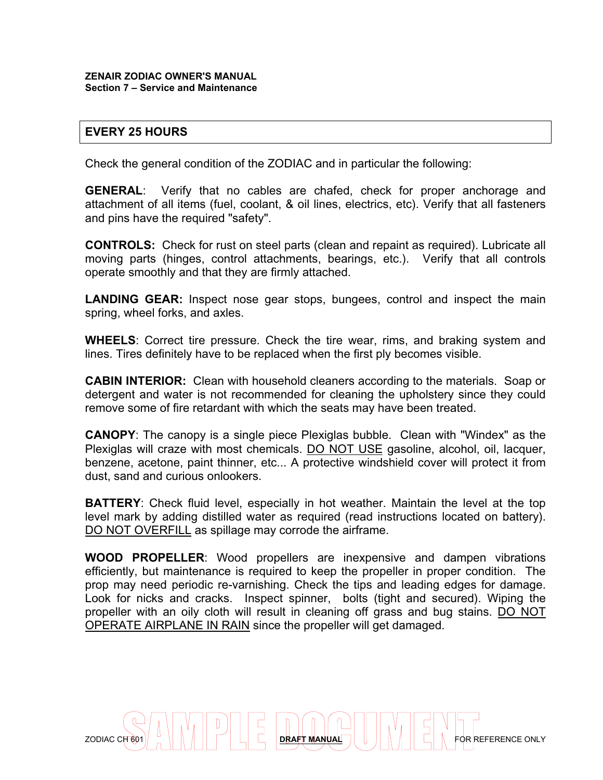## **EVERY 25 HOURS**

Check the general condition of the ZODIAC and in particular the following:

**GENERAL**: Verify that no cables are chafed, check for proper anchorage and attachment of all items (fuel, coolant, & oil lines, electrics, etc). Verify that all fasteners and pins have the required "safety".

**CONTROLS:** Check for rust on steel parts (clean and repaint as required). Lubricate all moving parts (hinges, control attachments, bearings, etc.). Verify that all controls operate smoothly and that they are firmly attached.

**LANDING GEAR:** Inspect nose gear stops, bungees, control and inspect the main spring, wheel forks, and axles.

**WHEELS**: Correct tire pressure. Check the tire wear, rims, and braking system and lines. Tires definitely have to be replaced when the first ply becomes visible.

**CABIN INTERIOR:** Clean with household cleaners according to the materials. Soap or detergent and water is not recommended for cleaning the upholstery since they could remove some of fire retardant with which the seats may have been treated.

**CANOPY**: The canopy is a single piece Plexiglas bubble. Clean with "Windex" as the Plexiglas will craze with most chemicals. DO NOT USE gasoline, alcohol, oil, lacquer, benzene, acetone, paint thinner, etc... A protective windshield cover will protect it from dust, sand and curious onlookers.

**BATTERY:** Check fluid level, especially in hot weather. Maintain the level at the top level mark by adding distilled water as required (read instructions located on battery). DO NOT OVERFILL as spillage may corrode the airframe.

**WOOD PROPELLER**: Wood propellers are inexpensive and dampen vibrations efficiently, but maintenance is required to keep the propeller in proper condition. The prop may need periodic re-varnishing. Check the tips and leading edges for damage. Look for nicks and cracks. Inspect spinner, bolts (tight and secured). Wiping the propeller with an oily cloth will result in cleaning off grass and bug stains. DO NOT OPERATE AIRPLANE IN RAIN since the propeller will get damaged.

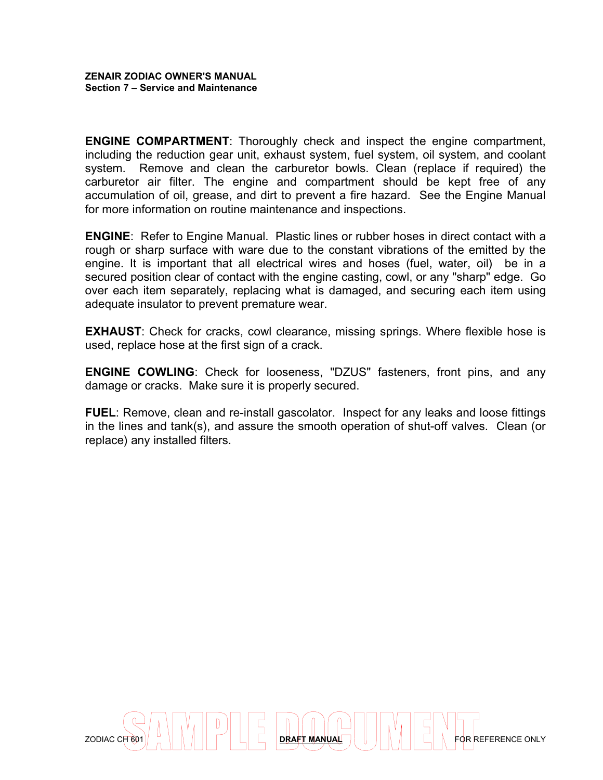**ENGINE COMPARTMENT**: Thoroughly check and inspect the engine compartment, including the reduction gear unit, exhaust system, fuel system, oil system, and coolant system. Remove and clean the carburetor bowls. Clean (replace if required) the carburetor air filter. The engine and compartment should be kept free of any accumulation of oil, grease, and dirt to prevent a fire hazard. See the Engine Manual for more information on routine maintenance and inspections.

**ENGINE**: Refer to Engine Manual. Plastic lines or rubber hoses in direct contact with a rough or sharp surface with ware due to the constant vibrations of the emitted by the engine. It is important that all electrical wires and hoses (fuel, water, oil) be in a secured position clear of contact with the engine casting, cowl, or any "sharp" edge. Go over each item separately, replacing what is damaged, and securing each item using adequate insulator to prevent premature wear.

**EXHAUST:** Check for cracks, cowl clearance, missing springs. Where flexible hose is used, replace hose at the first sign of a crack.

**ENGINE COWLING**: Check for looseness, "DZUS" fasteners, front pins, and any damage or cracks. Make sure it is properly secured.

**FUEL**: Remove, clean and re-install gascolator. Inspect for any leaks and loose fittings in the lines and tank(s), and assure the smooth operation of shut-off valves. Clean (or replace) any installed filters.

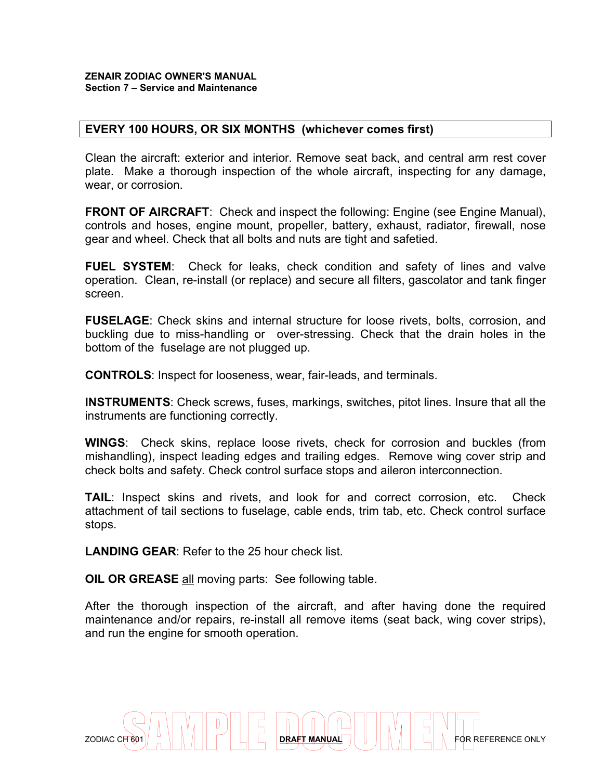#### **ZENAIR ZODIAC OWNER'S MANUAL Section 7 – Service and Maintenance**

#### **EVERY 100 HOURS, OR SIX MONTHS (whichever comes first)**

Clean the aircraft: exterior and interior. Remove seat back, and central arm rest cover plate. Make a thorough inspection of the whole aircraft, inspecting for any damage, wear, or corrosion.

**FRONT OF AIRCRAFT:** Check and inspect the following: Engine (see Engine Manual), controls and hoses, engine mount, propeller, battery, exhaust, radiator, firewall, nose gear and wheel. Check that all bolts and nuts are tight and safetied.

**FUEL SYSTEM**: Check for leaks, check condition and safety of lines and valve operation. Clean, re-install (or replace) and secure all filters, gascolator and tank finger screen.

**FUSELAGE**: Check skins and internal structure for loose rivets, bolts, corrosion, and buckling due to miss-handling or over-stressing. Check that the drain holes in the bottom of the fuselage are not plugged up.

**CONTROLS**: Inspect for looseness, wear, fair-leads, and terminals.

**INSTRUMENTS**: Check screws, fuses, markings, switches, pitot lines. Insure that all the instruments are functioning correctly.

**WINGS**: Check skins, replace loose rivets, check for corrosion and buckles (from mishandling), inspect leading edges and trailing edges. Remove wing cover strip and check bolts and safety. Check control surface stops and aileron interconnection.

**TAIL**: Inspect skins and rivets, and look for and correct corrosion, etc. Check attachment of tail sections to fuselage, cable ends, trim tab, etc. Check control surface stops.

**LANDING GEAR**: Refer to the 25 hour check list.

**OIL OR GREASE** all moving parts: See following table.

After the thorough inspection of the aircraft, and after having done the required maintenance and/or repairs, re-install all remove items (seat back, wing cover strips), and run the engine for smooth operation.

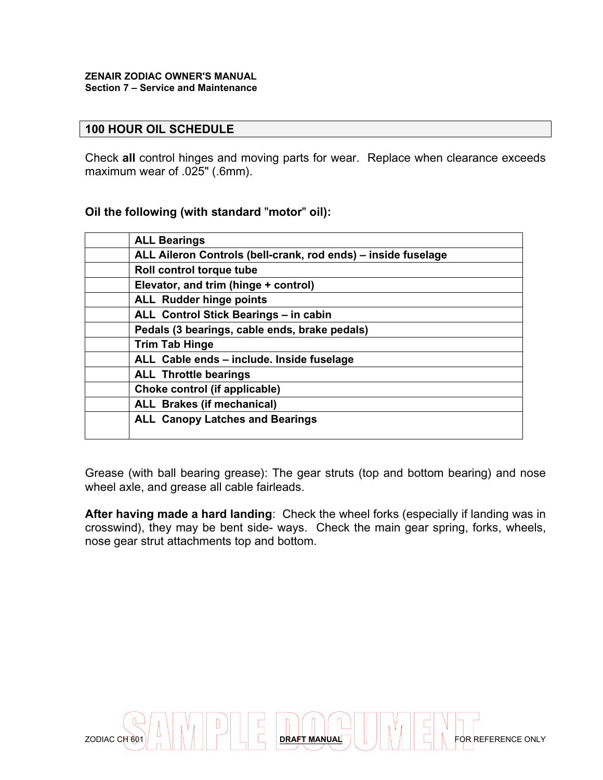#### **ZENAIR ZODIAC OWNER'S MANUAL Section 7 – Service and Maintenance**

#### **100 HOUR OIL SCHEDULE**

Check **all** control hinges and moving parts for wear. Replace when clearance exceeds maximum wear of .025" (.6mm).

#### **Oil the following (with standard** "**motor**" **oil):**

| <b>ALL Bearings</b>                                           |
|---------------------------------------------------------------|
| ALL Aileron Controls (bell-crank, rod ends) - inside fuselage |
| Roll control torque tube                                      |
| Elevator, and trim (hinge + control)                          |
| <b>ALL Rudder hinge points</b>                                |
| ALL Control Stick Bearings - in cabin                         |
| Pedals (3 bearings, cable ends, brake pedals)                 |
| <b>Trim Tab Hinge</b>                                         |
| ALL Cable ends - include. Inside fuselage                     |
| <b>ALL Throttle bearings</b>                                  |
| Choke control (if applicable)                                 |
| <b>ALL Brakes (if mechanical)</b>                             |
| <b>ALL Canopy Latches and Bearings</b>                        |

Grease (with ball bearing grease): The gear struts (top and bottom bearing) and nose wheel axle, and grease all cable fairleads.

**After having made a hard landing**: Check the wheel forks (especially if landing was in crosswind), they may be bent side- ways. Check the main gear spring, forks, wheels, nose gear strut attachments top and bottom.